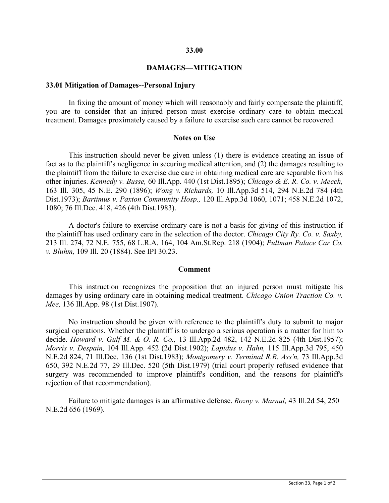### **33.00**

## **DAMAGES—MITIGATION**

### **33.01 Mitigation of Damages--Personal Injury**

In fixing the amount of money which will reasonably and fairly compensate the plaintiff, you are to consider that an injured person must exercise ordinary care to obtain medical treatment. Damages proximately caused by a failure to exercise such care cannot be recovered.

#### **Notes on Use**

This instruction should never be given unless (1) there is evidence creating an issue of fact as to the plaintiff's negligence in securing medical attention, and (2) the damages resulting to the plaintiff from the failure to exercise due care in obtaining medical care are separable from his other injuries. *Kennedy v. Busse,* 60 Ill.App. 440 (1st Dist.1895); *Chicago & E. R. Co. v. Meech,* 163 Ill. 305, 45 N.E. 290 (1896); *Wong v. Richards,* 10 Ill.App.3d 514, 294 N.E.2d 784 (4th Dist.1973); *Bartimus v. Paxton Community Hosp.,* 120 Ill.App.3d 1060, 1071; 458 N.E.2d 1072, 1080; 76 Ill.Dec. 418, 426 (4th Dist.1983).

A doctor's failure to exercise ordinary care is not a basis for giving of this instruction if the plaintiff has used ordinary care in the selection of the doctor. *Chicago City Ry. Co. v. Saxby,* 213 Ill. 274, 72 N.E. 755, 68 L.R.A. 164, 104 Am.St.Rep. 218 (1904); *Pullman Palace Car Co. v. Bluhm,* 109 Ill. 20 (1884). See IPI 30.23.

#### **Comment**

This instruction recognizes the proposition that an injured person must mitigate his damages by using ordinary care in obtaining medical treatment. *Chicago Union Traction Co. v. Mee,* 136 Ill.App. 98 (1st Dist.1907).

No instruction should be given with reference to the plaintiff's duty to submit to major surgical operations. Whether the plaintiff is to undergo a serious operation is a matter for him to decide. *Howard v. Gulf M. & O. R. Co.,* 13 Ill.App.2d 482, 142 N.E.2d 825 (4th Dist.1957); *Morris v. Despain,* 104 Ill.App. 452 (2d Dist.1902); *Lapidus v. Hahn,* 115 Ill.App.3d 795, 450 N.E.2d 824, 71 Ill.Dec. 136 (1st Dist.1983); *Montgomery v. Terminal R.R. Ass'n,* 73 Ill.App.3d 650, 392 N.E.2d 77, 29 Ill.Dec. 520 (5th Dist.1979) (trial court properly refused evidence that surgery was recommended to improve plaintiff's condition, and the reasons for plaintiff's rejection of that recommendation).

Failure to mitigate damages is an affirmative defense. *Rozny v. Marnul,* 43 Ill.2d 54, 250 N.E.2d 656 (1969).